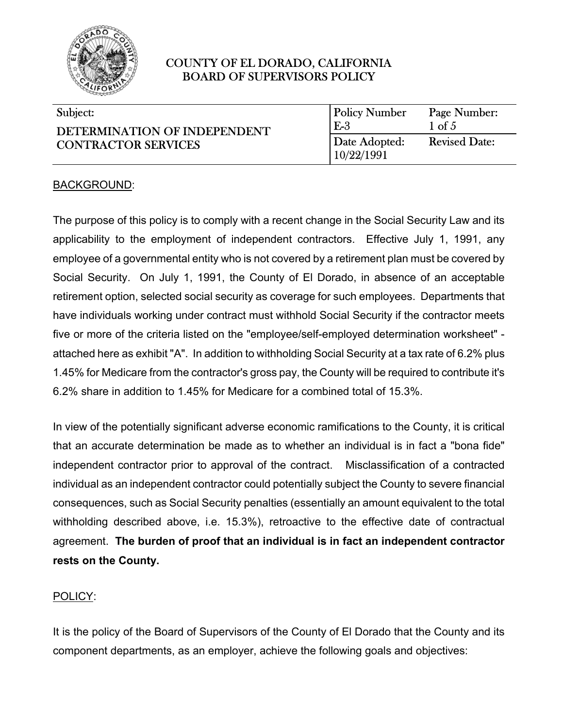

#### $\overline{\phantom{0}}$ Subject:

| Subject:                                                   | <b>Policy Number</b>        | Page Number:         |
|------------------------------------------------------------|-----------------------------|----------------------|
| DETERMINATION OF INDEPENDENT<br><b>CONTRACTOR SERVICES</b> | $E-3$                       | $1 \text{ of } 5$    |
|                                                            | Date Adopted:<br>10/22/1991 | <b>Revised Date:</b> |

l

 $\overline{a}$ 

#### BACKGROUND:

The purpose of this policy is to comply with a recent change in the Social Security Law and its applicability to the employment of independent contractors. Effective July 1, 1991, any employee of a governmental entity who is not covered by a retirement plan must be covered by Social Security. On July 1, 1991, the County of El Dorado, in absence of an acceptable retirement option, selected social security as coverage for such employees. Departments that have individuals working under contract must withhold Social Security if the contractor meets five or more of the criteria listed on the "employee/self-employed determination worksheet" attached here as exhibit "A". In addition to withholding Social Security at a tax rate of 6.2% plus 1.45% for Medicare from the contractor's gross pay, the County will be required to contribute it's 6.2% share in addition to 1.45% for Medicare for a combined total of 15.3%.

In view of the potentially significant adverse economic ramifications to the County, it is critical that an accurate determination be made as to whether an individual is in fact a "bona fide" independent contractor prior to approval of the contract. Misclassification of a contracted individual as an independent contractor could potentially subject the County to severe financial consequences, such as Social Security penalties (essentially an amount equivalent to the total withholding described above, i.e. 15.3%), retroactive to the effective date of contractual agreement. **The burden of proof that an individual is in fact an independent contractor rests on the County.** 

#### POLICY:

It is the policy of the Board of Supervisors of the County of El Dorado that the County and its component departments, as an employer, achieve the following goals and objectives: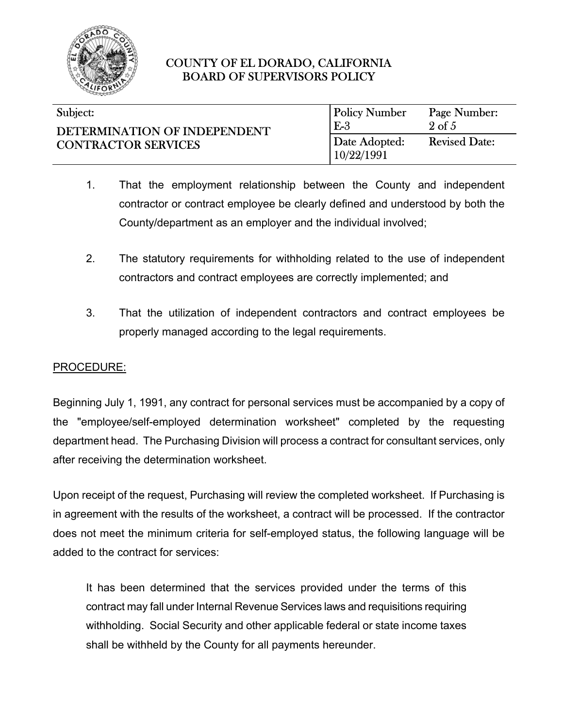

| Subject:                                                   | <b>Policy Number</b>        | Page Number:         |
|------------------------------------------------------------|-----------------------------|----------------------|
| DETERMINATION OF INDEPENDENT<br><b>CONTRACTOR SERVICES</b> | $E-3$                       | $2 \text{ of } 5$    |
|                                                            | Date Adopted:<br>10/22/1991 | <b>Revised Date:</b> |

- 1. That the employment relationship between the County and independent contractor or contract employee be clearly defined and understood by both the County/department as an employer and the individual involved;
- 2. The statutory requirements for withholding related to the use of independent contractors and contract employees are correctly implemented; and
- 3. That the utilization of independent contractors and contract employees be properly managed according to the legal requirements.

## PROCEDURE:

Beginning July 1, 1991, any contract for personal services must be accompanied by a copy of the "employee/self-employed determination worksheet" completed by the requesting department head. The Purchasing Division will process a contract for consultant services, only after receiving the determination worksheet.

Upon receipt of the request, Purchasing will review the completed worksheet. If Purchasing is in agreement with the results of the worksheet, a contract will be processed. If the contractor does not meet the minimum criteria for self-employed status, the following language will be added to the contract for services:

It has been determined that the services provided under the terms of this contract may fall under Internal Revenue Services laws and requisitions requiring withholding. Social Security and other applicable federal or state income taxes shall be withheld by the County for all payments hereunder.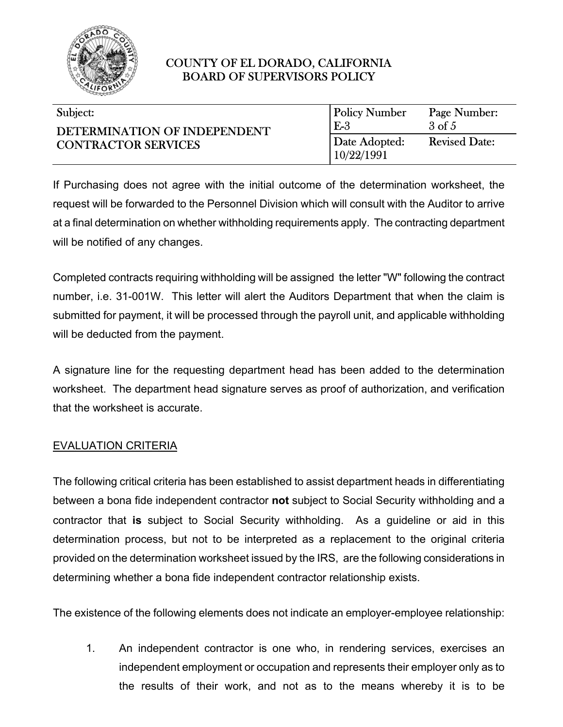

| Subject: |  |
|----------|--|

| Subject:                                                   | <b>Policy Number</b>        | Page Number:         |
|------------------------------------------------------------|-----------------------------|----------------------|
| DETERMINATION OF INDEPENDENT<br><b>CONTRACTOR SERVICES</b> | $E-3$                       | $3 \text{ of } 5$    |
|                                                            | Date Adopted:<br>10/22/1991 | <b>Revised Date:</b> |

l

 $\overline{a}$ 

If Purchasing does not agree with the initial outcome of the determination worksheet, the request will be forwarded to the Personnel Division which will consult with the Auditor to arrive at a final determination on whether withholding requirements apply. The contracting department will be notified of any changes.

Completed contracts requiring withholding will be assigned the letter "W" following the contract number, i.e. 31-001W. This letter will alert the Auditors Department that when the claim is submitted for payment, it will be processed through the payroll unit, and applicable withholding will be deducted from the payment.

A signature line for the requesting department head has been added to the determination worksheet. The department head signature serves as proof of authorization, and verification that the worksheet is accurate.

# EVALUATION CRITERIA

The following critical criteria has been established to assist department heads in differentiating between a bona fide independent contractor **not** subject to Social Security withholding and a contractor that **is** subject to Social Security withholding. As a guideline or aid in this determination process, but not to be interpreted as a replacement to the original criteria provided on the determination worksheet issued by the IRS, are the following considerations in determining whether a bona fide independent contractor relationship exists.

The existence of the following elements does not indicate an employer-employee relationship:

1. An independent contractor is one who, in rendering services, exercises an independent employment or occupation and represents their employer only as to the results of their work, and not as to the means whereby it is to be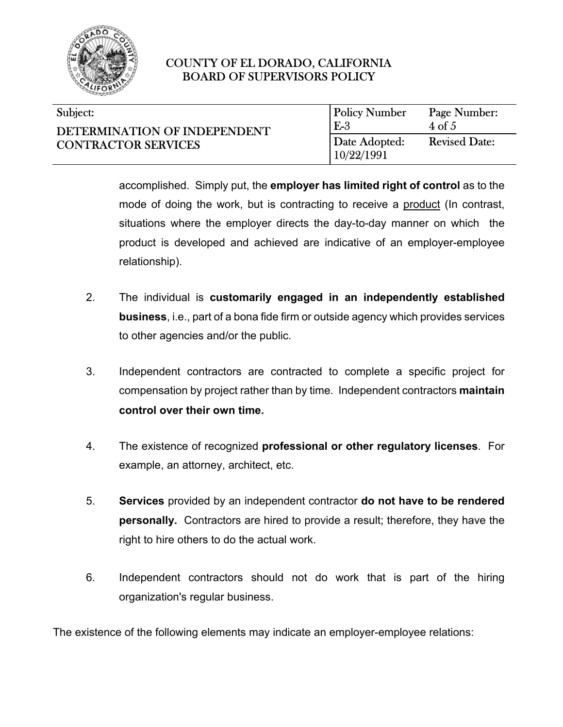

#### $\overline{\phantom{0}}$ Subject:

| Subject:                                                   | <b>Policy Number</b>        | Page Number:         |
|------------------------------------------------------------|-----------------------------|----------------------|
| DETERMINATION OF INDEPENDENT<br><b>CONTRACTOR SERVICES</b> | $E-3$                       | $4 \text{ of } 5$    |
|                                                            | Date Adopted:<br>10/22/1991 | <b>Revised Date:</b> |

accomplished. Simply put, the **employer has limited right of control** as to the mode of doing the work, but is contracting to receive a product (In contrast, situations where the employer directs the day-to-day manner on which the product is developed and achieved are indicative of an employer-employee relationship).

l

 $\overline{a}$ 

- 2. The individual is **customarily engaged in an independently established business**, i.e., part of a bona fide firm or outside agency which provides services to other agencies and/or the public.
- 3. Independent contractors are contracted to complete a specific project for compensation by project rather than by time. Independent contractors **maintain control over their own time.**
- 4. The existence of recognized **professional or other regulatory licenses**. For example, an attorney, architect, etc.
- 5. **Services** provided by an independent contractor **do not have to be rendered personally.** Contractors are hired to provide a result; therefore, they have the right to hire others to do the actual work.
- 6. Independent contractors should not do work that is part of the hiring organization's regular business.

The existence of the following elements may indicate an employer-employee relations: